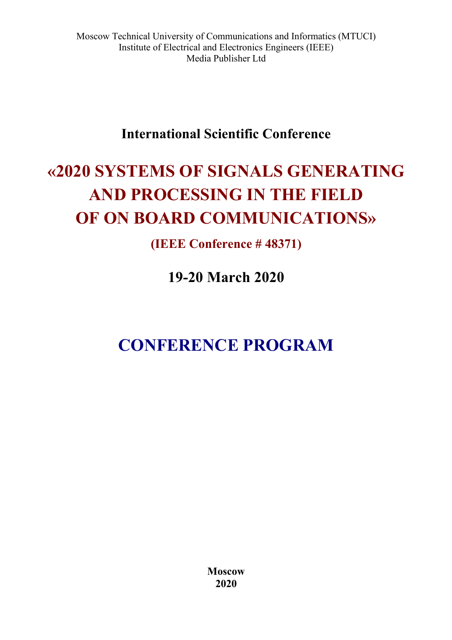# **International Scientific Conference**

# **«2020 SYSTEMS OF SIGNALS GENERATING AND PROCESSING IN THE FIELD OF ON BOARD COMMUNICATIONS»**

**(IEEE Conference # 48371)**

**19-20 March 2020** 

# **CONFERENCE PROGRAM**

**Moscow 2020**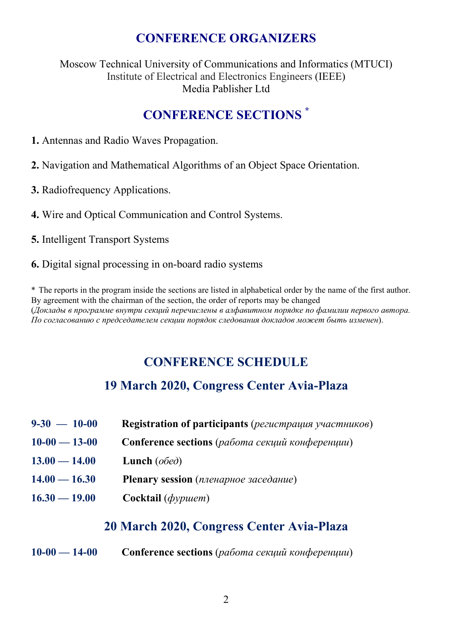# **CONFERENCE ORGANIZERS**

Moscow Technical University of Сommunications and Informatics (MTUCI) Institute of Electrical and Electronics Engineers (IEEE) Media Pablisher Ltd

# **CONFERENCE SECTIONS \***

- **1.** Antennas and Radio Waves Propagation.
- **2.** Navigation and Mathematical Algorithms of an Object Space Orientation.
- **3.** Radiofrequency Applications.
- **4.** Wire and Optical Communication and Control Systems.
- **5.** Intelligent Transport Systems
- **6.** Digital signal processing in on-board radio systems

\* The reports in the program inside the sections are listed in alphabetical order by the name of the first author. By agreement with the chairman of the section, the order of reports may be changed (*Доклады в программе внутри секций перечислены в алфавитном порядке по фамилии первого автора. По согласованию с председателем секции порядок следования докладов может быть изменен*).

# **CONFERENCE SCHEDULE**

# **19 March 2020, Congress Center Avia-Plaza**

- **9-30 10-00 Registration of participants** (*регистрация участников*)
- **10-00 13-00 Conference sections** (*работа секций конференции*)
- **13.00 14.00 Lunch** (*обед*)
- **14.00 16.30 Plenary session** (*пленарное заседание*)
- **16.30 19.00 Cocktail** (*фуршет*)

# **20 March 2020, Congress Center Avia-Plaza**

**10-00 — 14-00 Conference sections** (*работа секций конференции*)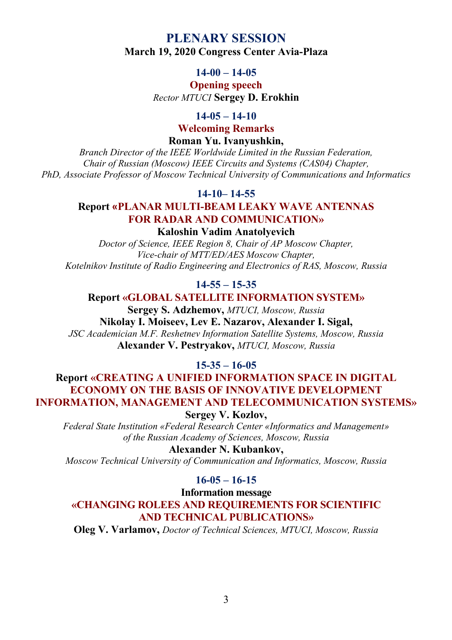# **PLENARY SESSION March 19, 2020 Congress Center Avia-Plaza**

#### **14-00 – 14-05**

#### **Opening speech**  *Rector MTUCI* **Sergey D. Erokhin**

#### **14-05 – 14-10**

**Welcoming Remarks** 

**Roman Yu. Ivanyushkin,**

*Branch Director of the IEEE Worldwide Limited in the Russian Federation, Chair of Russian (Moscow) IEEE Circuits and Systems (CAS04) Chapter, PhD, Associate Professor of Moscow Technical University of Сommunications and Informatics* 

#### **14-10– 14-55**

#### **Report «PLANAR MULTI-BEAM LEAKY WAVE ANTENNAS FOR RADAR AND COMMUNICATION»**

#### **Kaloshin Vadim Anatolyevich**

*Doctor of Science, IEEE Region 8, Chair of AP Moscow Chapter, Vice-chair of MTT/ED/AES Moscow Chapter, Kotelnikov Institute of Radio Engineering and Electronics of RAS, Moscow, Russia* 

### **14-55 – 15-35**

#### **Report «GLOBAL SATELLITE INFORMATION SYSTEM»**

**Sergey S. Adzhemov,** *MTUCI, Moscow, Russia* **Nikolay I. Moiseev, Lev E. Nazarov, Alexander I. Sigal,**  *JSC Academician M.F. Reshetnev Information Satellite Systems, Moscow, Russia* **Alexander V. Pestryakov,** *MTUCI, Moscow, Russia* 

**15-35 – 16-05** 

# **Report «CREATING A UNIFIED INFORMATION SPACE IN DIGITAL ECONOMY ON THE BASIS OF INNOVATIVE DEVELOPMENT INFORMATION, MANAGEMENT AND TELECOMMUNICATION SYSTEMS»**

**Sergey V. Kozlov,** 

*Federal State Institution «Federal Research Center «Informatics and Management» of the Russian Academy of Sciences, Moscow, Russia* 

**Alexander N. Kubankov,**  *Moscow Technical University of Communication and Informatics, Moscow, Russia* 

# **16-05 – 16-15**

**Information message «CHANGING ROLEES AND REQUIREMENTS FOR SCIENTIFIC AND TECHNICAL PUBLICATIONS»** 

**Oleg V. Varlamov,** *Doctor of Technical Sciences, MTUCI, Moscow, Russia*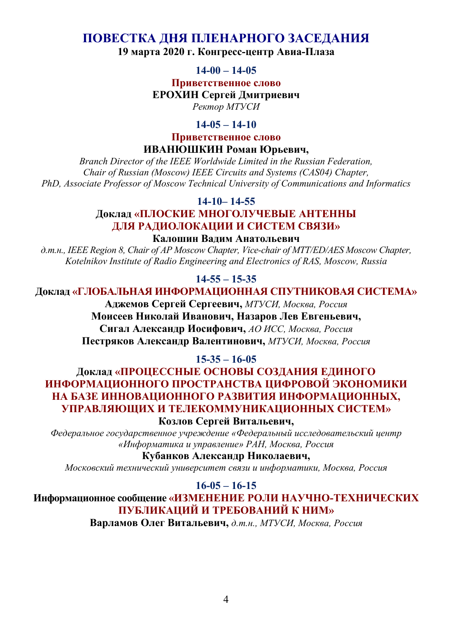# **ПОВЕСТКА ДНЯ ПЛЕНАРНОГО ЗАСЕДАНИЯ**

**19 марта 2020 г. Конгресс-центр Авиа-Плаза**

#### **14-00 – 14-05**

**Приветственное слово** 

**ЕРОХИН Сергей Дмитриевич**

*Ректор МТУСИ*

#### **14-05 – 14-10**

**Приветственное слово ИВАНЮШКИН Роман Юрьевич,**

*Branch Director of the IEEE Worldwide Limited in the Russian Federation, Chair of Russian (Moscow) IEEE Circuits and Systems (CAS04) Chapter, PhD, Associate Professor of Moscow Technical University of Communications and Informatics* 

**14-10– 14-55** 

# **Доклад «ПЛОСКИЕ МНОГОЛУЧЕВЫЕ АНТЕННЫ ДЛЯ РАДИОЛОКАЦИИ И СИСТЕМ СВЯЗИ»**

#### **Калошин Вадим Анатольевич**

*д.т.н., IEEE Region 8, Chair of AP Moscow Chapter, Vice-chair of MTT/ED/AES Moscow Chapter, Kotelnikov Institute of Radio Engineering and Electronics of RAS, Moscow, Russia* 

#### **14-55 – 15-35**

#### **Доклад «ГЛОБАЛЬНАЯ ИНФОРМАЦИОННАЯ СПУТНИКОВАЯ СИСТЕМА»**

**Аджемов Сергей Сергеевич,** *МТУСИ, Москва, Россия*

# **Моисеев Николай Иванович, Назаров Лев Евгеньевич,**

**Сигал Александр Иосифович,** *АО ИСС, Москва, Россия* **Пестряков Александр Валентинович,** *МТУСИ, Москва, Россия*

#### **15-35 – 16-05**

# **Доклад «ПРОЦЕССНЫЕ ОСНОВЫ СОЗДАНИЯ ЕДИНОГО ИНФОРМАЦИОННОГО ПРОСТРАНСТВА ЦИФРОВОЙ ЭКОНОМИКИ НА БАЗЕ ИННОВАЦИОННОГО РАЗВИТИЯ ИНФОРМАЦИОННЫХ, УПРАВЛЯЮЩИХ И ТЕЛЕКОММУНИКАЦИОННЫХ СИСТЕМ»**

**Козлов Сергей Витальевич,** 

*Федеральное государственное учреждение «Федеральный исследовательский центр «Информатика и управление» РАН, Москва, Россия*

**Кубанков Александр Николаевич,** 

*Московский технический университет связи и информатики, Москва, Россия*

#### **16-05 – 16-15**

**Информационное сообщение «ИЗМЕНЕНИЕ РОЛИ НАУЧНО-ТЕХНИЧЕСКИХ ПУБЛИКАЦИЙ И ТРЕБОВАНИЙ К НИМ»** 

**Варламов Олег Витальевич,** *д.т.н., МТУСИ, Москва, Россия*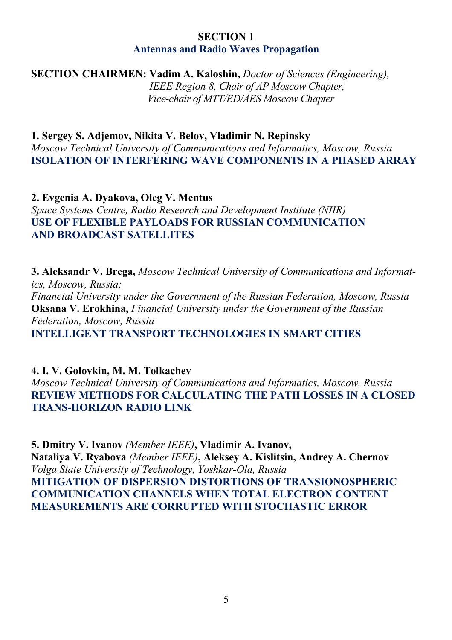#### **SECTION 1 Antennas and Radio Waves Propagation**

**SECTION CHAIRMEN: Vadim A. Kaloshin,** *Doctor of Sciences (Engineering),* 

 *IEEE Region 8, Chair of AP Moscow Chapter, Vice-chair of MTT/ED/AES Moscow Chapter*

**1. Sergey S. Adjemov, Nikita V. Belov, Vladimir N. Repinsky**  *Moscow Technical University of Communications and Informatics, Moscow, Russia*  **ISOLATION OF INTERFERING WAVE COMPONENTS IN A PHASED ARRAY** 

**2. Evgenia A. Dyakova, Oleg V. Mentus**  *Space Systems Centre, Radio Research and Development Institute (NIIR)*  **USE OF FLEXIBLE PAYLOADS FOR RUSSIAN COMMUNICATION AND BROADCAST SATELLITES** 

**3. Aleksandr V. Brega,** *Moscow Technical University of Communications and Informatics, Moscow, Russia; Financial University under the Government of the Russian Federation, Moscow, Russia*  **Oksana V. Erokhina,** *Financial University under the Government of the Russian Federation, Moscow, Russia*  **INTELLIGENT TRANSPORT TECHNOLOGIES IN SMART CITIES**

**4. I. V. Golovkin, M. M. Tolkachev**  *Moscow Technical University of Communications and Informatics, Moscow, Russia*  **REVIEW METHODS FOR CALCULATING THE PATH LOSSES IN A CLOSED TRANS-HORIZON RADIO LINK** 

**5. Dmitry V. Ivanov** *(Member IEEE)***, Vladimir A. Ivanov, Nataliya V. Ryabova** *(Member IEEE)***, Aleksey A. Kislitsin, Andrey A. Chernov**  *Volga State University of Technology, Yoshkar-Ola, Russia*  **MITIGATION OF DISPERSION DISTORTIONS OF TRANSIONOSPHERIC COMMUNICATION CHANNELS WHEN TOTAL ELECTRON CONTENT MEASUREMENTS ARE CORRUPTED WITH STOCHASTIC ERROR**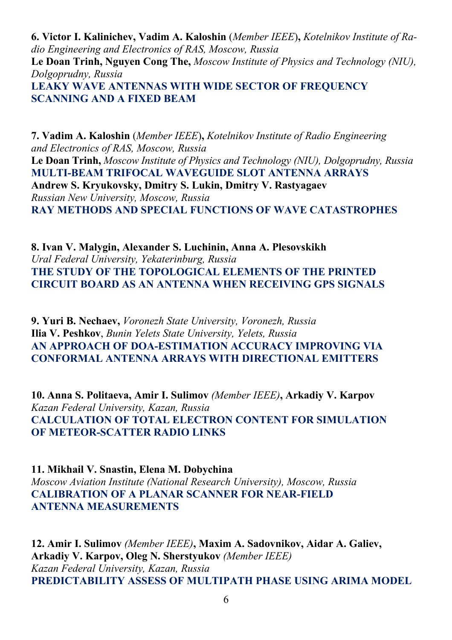**6. Victor I. Kalinichev, Vadim A. Kaloshin** (*Member IEEE*)**,** *Kotelnikov Institute of Radio Engineering and Electronics of RAS, Moscow, Russia*  **Le Doan Trinh, Nguyen Cong The,** *Moscow Institute of Physics and Technology (NIU), Dolgoprudny, Russia*  **LEAKY WAVE ANTENNAS WITH WIDE SECTOR OF FREQUENCY SCANNING AND A FIXED BEAM** 

**7. Vadim A. Kaloshin** (*Member IEEE*)**,** *Kotelnikov Institute of Radio Engineering and Electronics of RAS, Moscow, Russia*  **Le Doan Trinh,** *Moscow Institute of Physics and Technology (NIU), Dolgoprudny, Russia*  **MULTI-BEAM TRIFOCAL WAVEGUIDE SLOT ANTENNA ARRAYS Andrew S. Kryukovsky, Dmitry S. Lukin, Dmitry V. Rastyagaev**  *Russian New University, Moscow, Russia*  **RAY METHODS AND SPECIAL FUNCTIONS OF WAVE CATASTROPHES** 

**8. Ivan V. Malygin, Alexander S. Luchinin, Anna A. Plesovskikh**  *Ural Federal University, Yekaterinburg, Russia*  **THE STUDY OF THE TOPOLOGICAL ELEMENTS OF THE PRINTED CIRCUIT BOARD AS AN ANTENNA WHEN RECEIVING GPS SIGNALS** 

**9. Yuri B. Nechaev,** *Voronezh State University, Voronezh, Russia* **Ilia V. Peshkov**, *Bunin Yelets State University, Yelets, Russia*  **AN APPROACH OF DOA-ESTIMATION ACCURACY IMPROVING VIA CONFORMAL ANTENNA ARRAYS WITH DIRECTIONAL EMITTERS** 

**10. Anna S. Politaeva, Amir I. Sulimov** *(Member IEEE)***, Arkadiy V. Karpov**  *Kazan Federal University, Kazan, Russia*  **CALCULATION OF TOTAL ELECTRON CONTENT FOR SIMULATION OF METEOR-SCATTER RADIO LINKS** 

**11. Mikhail V. Snastin, Elena M. Dobychina**  *Moscow Aviation Institute (National Research University), Moscow, Russia*  **CALIBRATION OF A PLANAR SCANNER FOR NEAR-FIELD ANTENNA MEASUREMENTS** 

**12. Amir I. Sulimov** *(Member IEEE)***, Maxim A. Sadovnikov, Aidar A. Galiev, Arkadiy V. Karpov, Oleg N. Sherstyukov** *(Member IEEE) Kazan Federal University, Kazan, Russia*  **PREDICTABILITY ASSESS OF MULTIPATH PHASE USING ARIMA MODEL**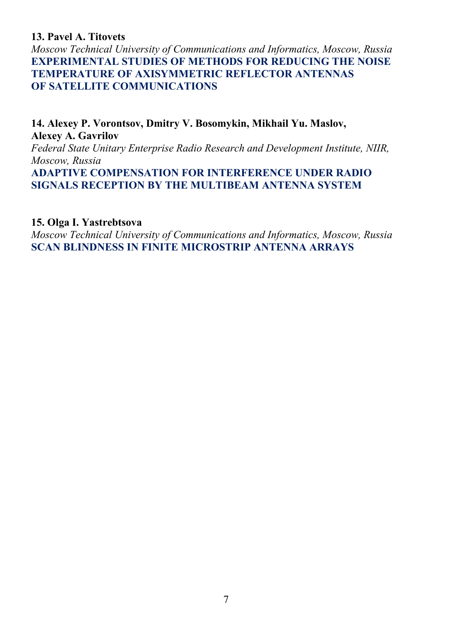### **13. Pavel A. Titovets**

*Moscow Technical University of Communications and Informatics, Moscow, Russia*  **EXPERIMENTAL STUDIES OF METHODS FOR REDUCING THE NOISE TEMPERATURE OF AXISYMMETRIC REFLECTOR ANTENNAS OF SATELLITE COMMUNICATIONS** 

**14. Alexey P. Vorontsov, Dmitry V. Bosоmykin, Mikhail Yu. Maslov, Alexey A. Gavrilov** 

*Federal State Unitary Enterprise Radio Research and Development Institute, NIIR, Moscow, Russia* 

**ADAPTIVE COMPENSATION FOR INTERFERENCE UNDER RADIO SIGNALS RECEPTION BY THE MULTIBEAM ANTENNA SYSTEM** 

#### **15. Olga I. Yastrebtsova**

*Moscow Technical University of Communications and Informatics, Moscow, Russia*  **SCAN BLINDNESS IN FINITE MICROSTRIP ANTENNA ARRAYS**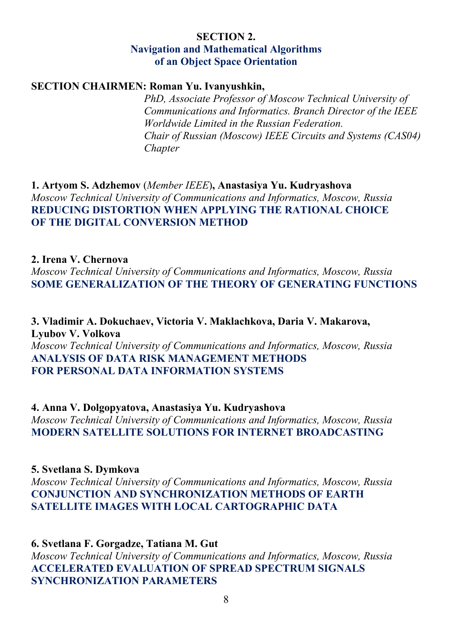#### **SECTION 2. Navigation and Mathematical Algorithms of an Object Space Orientation**

#### **SECTION CHAIRMEN: Roman Yu. Ivanyushkin,**

 *PhD, Associate Professor of Moscow Technical University of Сommunications and Informatics. Branch Director of the IEEE Worldwide Limited in the Russian Federation. Chair of Russian (Moscow) IEEE Circuits and Systems (CAS04) Chapter* 

**1. Artyom S. Adzhemov** (*Member IEEE*)**, Anastasiya Yu. Kudryashova**  *Moscow Technical University of Communications and Informatics, Moscow, Russia*  **REDUCING DISTORTION WHEN APPLYING THE RATIONAL CHOICE OF THE DIGITAL CONVERSION METHOD** 

#### **2. Irena V. Chernova**

*Moscow Technical University of Communications and Informatics, Moscow, Russia*  **SOME GENERALIZATION OF THE THEORY OF GENERATING FUNCTIONS** 

**3. Vladimir A. Dokuchaev, Victoria V. Maklachkova, Daria V. Makarova, Lyubov V. Volkova**  *Moscow Technical University of Communications and Informatics, Moscow, Russia*  **ANALYSIS OF DATA RISK MANAGEMENT METHODS FOR PERSONAL DATA INFORMATION SYSTEMS** 

**4. Anna V. Dolgopyatova, Anastasiya Yu. Kudryashova**  *Moscow Technical University of Communications and Informatics, Moscow, Russia*  **MODERN SATELLITE SOLUTIONS FOR INTERNET BROADCASTING** 

#### **5. Svetlana S. Dymkova**

*Moscow Technical University of Communications and Informatics, Moscow, Russia*  **СONJUNCTION AND SYNCHRONIZATION METHODS OF EARTH SATELLITE IMAGES WITH LOCAL CARTOGRAPHIC DATA** 

#### **6. Svetlana F. Gorgadze, Tatiana M. Gut**

*Moscow Technical University of Communications and Informatics, Moscow, Russia*  **ACCELERATED EVALUATION OF SPREAD SPECTRUM SIGNALS SYNCHRONIZATION PARAMETERS**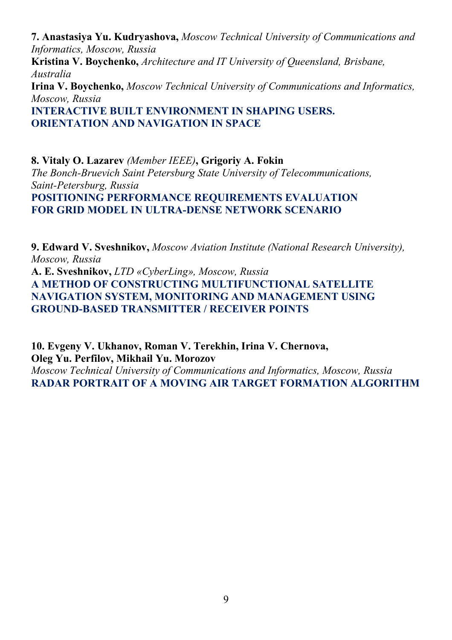**7. Anastasiya Yu. Kudryashova,** *Moscow Technical University of Communications and Informatics, Moscow, Russia*  **Kristina V. Boychenko,** *Architecture and IT University of Queensland, Brisbane, Australia*  **Irina V. Boychenko,** *Moscow Technical University of Communications and Informatics, Moscow, Russia*  **INTERACTIVE BUILT ENVIRONMENT IN SHAPING USERS. ORIENTATION AND NAVIGATION IN SPACE** 

**8. Vitaly O. Lazarev** *(Member IEEE)***, Grigoriy A. Fokin**  *The Bonch-Bruevich Saint Petersburg State University of Telecommunications, Saint-Petersburg, Russia*  **POSITIONING PERFORMANCE REQUIREMENTS EVALUATION FOR GRID MODEL IN ULTRA-DENSE NETWORK SCENARIO** 

**9. Edward V. Sveshnikov,** *Moscow Aviation Institute (National Research University), Moscow, Russia*  **A. E. Sveshnikov,** *LTD «CyberLing», Moscow, Russia* **A METHOD OF CONSTRUCTING MULTIFUNCTIONAL SATELLITE NAVIGATION SYSTEM, MONITORING AND MANAGEMENT USING GROUND-BASED TRANSMITTER / RECEIVER POINTS** 

**10. Evgeny V. Ukhanov, Roman V. Terekhin, Irina V. Chernova, Oleg Yu. Perfilov, Mikhail Yu. Morozov**  *Moscow Technical University of Communications and Informatics, Moscow, Russia*  **RADAR PORTRAIT OF A MOVING AIR TARGET FORMATION ALGORITHM**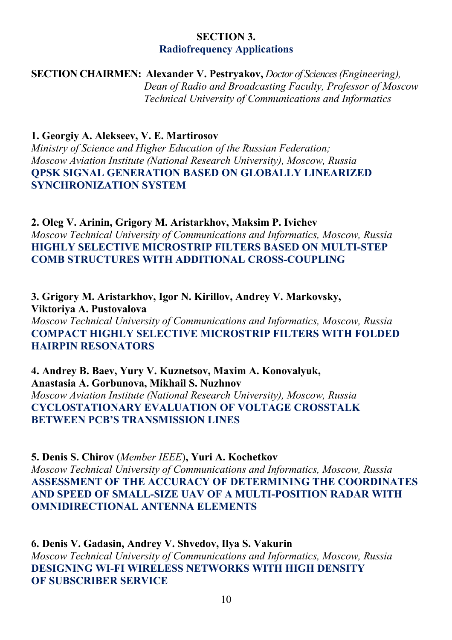# **SECTION 3. Radiofrequency Applications**

**SECTION CHAIRMEN: Alexander V. Pestryakov,** *Doctor of Sciences (Engineering), Dean of Radio and Broadcasting Faculty, Professor of Moscow Technical University of Сommunications and Informatics* 

**1. Georgiy A. Alekseev, V. E. Martirosov** 

*Ministry of Science and Higher Education of the Russian Federation; Moscow Aviation Institute (National Research University), Moscow, Russia*  **QPSK SIGNAL GENERATION BASED ON GLOBALLY LINEARIZED SYNCHRONIZATION SYSTEM**

**2. Oleg V. Arinin, Grigory M. Aristarkhov, Maksim P. Ivichev**  *Moscow Technical University of Communications and Informatics, Moscow, Russia*  **HIGHLY SELECTIVE MICROSTRIP FILTERS BASED ON MULTI-STEP COMB STRUCTURES WITH ADDITIONAL CROSS-COUPLING** 

**3. Grigory M. Aristarkhov, Igor N. Kirillov, Andrey V. Markovsky, Viktoriya A. Pustovalova**  *Moscow Technical University of Communications and Informatics, Moscow, Russia*  **COMPACT HIGHLY SELECTIVE MICROSTRIP FILTERS WITH FOLDED HAIRPIN RESONATORS** 

**4. Andrey B. Baev, Yury V. Kuznetsov, Maxim A. Konovalyuk, Anastasia A. Gorbunova, Mikhail S. Nuzhnov**  *Moscow Aviation Institute (National Research University), Moscow, Russia*  **CYCLOSTATIONARY EVALUATION OF VOLTAGE CROSSTALK BETWEEN PCB'S TRANSMISSION LINES** 

**5. Denis S. Chirov** (*Member IEEE*)**, Yuri A. Kochetkov**  *Moscow Technical University of Communications and Informatics, Moscow, Russia*  **ASSESSMENT OF THE ACCURACY OF DETERMINING THE COORDINATES AND SPEED OF SMALL-SIZE UAV OF A MULTI-POSITION RADAR WITH OMNIDIRECTIONAL ANTENNA ELEMENTS** 

**6. Denis V. Gadasin, Andrey V. Shvedov, Ilya S. Vakurin**  *Moscow Technical University of Communications and Informatics, Moscow, Russia*  **DESIGNING WI-FI WIRELESS NETWORKS WITH HIGH DENSITY OF SUBSCRIBER SERVICE**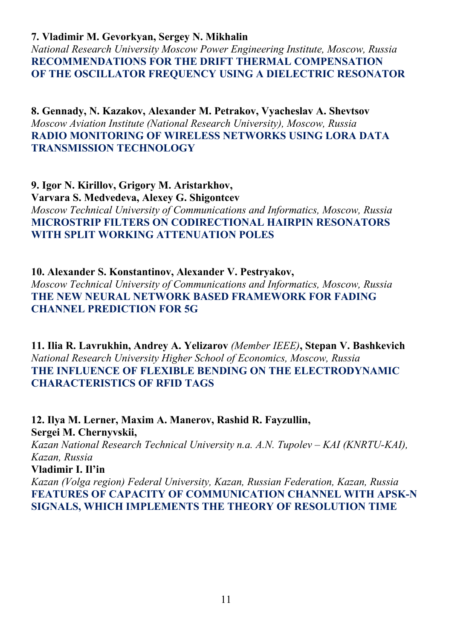#### **7. Vladimir M. Gevorkyan, Sergey N. Mikhalin**

*National Research University Moscow Power Engineering Institute, Moscow, Russia*  **RECOMMENDATIONS FOR THE DRIFT THERMAL COMPENSATION OF THE OSCILLATOR FREQUENCY USING A DIELECTRIC RESONATOR** 

**8. Gennady, N. Kazakov, Alexander M. Petrakov, Vyacheslav A. Shevtsov**  *Moscow Aviation Institute (National Research University), Moscow, Russia*  **RADIO MONITORING OF WIRELESS NETWORKS USING LORA DATA TRANSMISSION TECHNOLOGY** 

**9. Igor N. Kirillov, Grigory M. Aristarkhov, Varvara S. Medvedeva, Alexey G. Shigontcev**  *Moscow Technical University of Communications and Informatics, Moscow, Russia*  **MICROSTRIP FILTERS ON CODIRECTIONAL HAIRPIN RESONATORS WITH SPLIT WORKING ATTENUATION POLES** 

**10. Alexander S. Konstantinov, Alexander V. Pestryakov,**  *Moscow Technical University of Communications and Informatics, Moscow, Russia*  **THE NEW NEURAL NETWORK BASED FRAMEWORK FOR FADING CHANNEL PREDICTION FOR 5G** 

**11. Ilia R. Lavrukhin, Andrey A. Yelizarov** *(Member IEEE)***, Stepan V. Bashkevich**  *National Research University Higher School of Economics, Moscow, Russia*  **THE INFLUENCE OF FLEXIBLE BENDING ON THE ELECTRODYNAMIC CHARACTERISTICS OF RFID TAGS** 

**12. Ilya M. Lerner, Maxim A. Manerov, Rashid R. Fayzullin, Sergei M. Chernyvskii,**  *Kazan National Research Technical University n.a. A.N. Tupolev – KAI (KNRTU-KAI), Kazan, Russia*  **Vladimir I. Il'in** *Kazan (Volga region) Federal University, Kazan, Russian Federation, Kazan, Russia*  **FEATURES OF CAPACITY OF COMMUNICATION CHANNEL WITH APSK-N SIGNALS, WHICH IMPLEMENTS THE THEORY OF RESOLUTION TIME**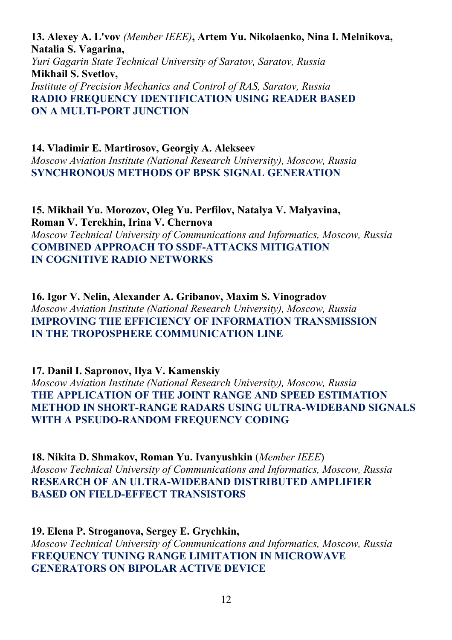**13. Alexey A. L'vov** *(Member IEEE)***, Artem Yu. Nikolaenko, Nina I. Melnikova, Natalia S. Vagarina,**  *Yuri Gagarin State Technical University of Saratov, Saratov, Russia*  **Mikhail S. Svetlov,**  *Institute of Precision Mechanics and Control of RAS, Saratov, Russia*  **RADIO FREQUENCY IDENTIFICATION USING READER BASED ON A MULTI-PORT JUNCTION** 

**14. Vladimir E. Martirosov, Georgiy A. Alekseev**  *Moscow Aviation Institute (National Research University), Moscow, Russia*  **SYNCHRONOUS METHODS OF BPSK SIGNAL GENERATION** 

**15. Mikhail Yu. Morozov, Oleg Yu. Perfilov, Natalya V. Malyavina, Roman V. Terekhin, Irina V. Chernova**  *Moscow Technical University of Communications and Informatics, Moscow, Russia*  **COMBINED APPROACH TO SSDF-ATTACKS MITIGATION IN COGNITIVE RADIO NETWORKS** 

**16. Igor V. Nelin, Alexander A. Gribanov, Maxim S. Vinogradov**  *Moscow Aviation Institute (National Research University), Moscow, Russia*  **IMPROVING THE EFFICIENCY OF INFORMATION TRANSMISSION IN THE TROPOSPHERE COMMUNICATION LINE** 

**17. Danil I. Sapronov, Ilya V. Kamenskiy**  *Moscow Aviation Institute (National Research University), Moscow, Russia*  **THE APPLICATION OF THE JOINT RANGE AND SPEED ESTIMATION METHOD IN SHORT-RANGE RADARS USING ULTRA-WIDEBAND SIGNALS WITH A PSEUDO-RANDOM FREQUENCY CODING** 

**18. Nikita D. Shmakov, Roman Yu. Ivanyushkin** (*Member IEEE*) *Moscow Technical University of Communications and Informatics, Moscow, Russia*  **RESEARCH OF AN ULTRA-WIDEBAND DISTRIBUTED AMPLIFIER BASED ON FIELD-EFFECT TRANSISTORS** 

**19. Elena P. Stroganova, Sergey E. Grychkin,**  *Moscow Technical University of Communications and Informatics, Moscow, Russia*  **FREQUENCY TUNING RANGE LIMITATION IN MICROWAVE GENERATORS ON BIPOLAR ACTIVE DEVICE**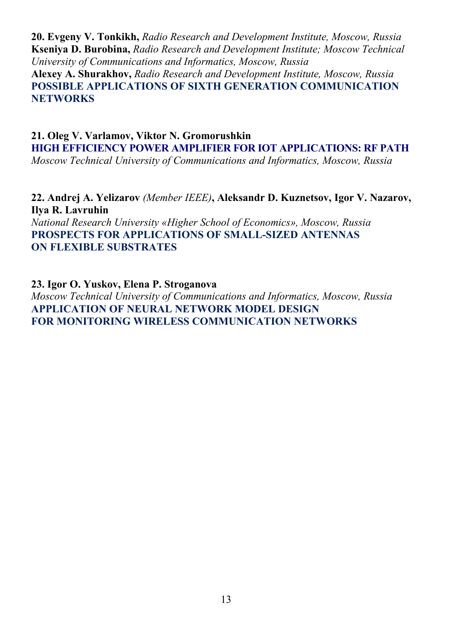**20. Evgeny V. Tonkikh,** *Radio Research and Development Institute, Moscow, Russia* **Kseniya D. Burobina,** *Radio Research and Development Institute; Moscow Technical University of Communications and Informatics, Moscow, Russia* 

**Alexey A. Shurakhov,** *Radio Research and Development Institute, Moscow, Russia* **POSSIBLE APPLICATIONS OF SIXTH GENERATION COMMUNICATION NETWORKS** 

**21. Oleg V. Varlamov, Viktor N. Gromorushkin HIGH EFFICIENCY POWER AMPLIFIER FOR IOT APPLICATIONS: RF PATH**  *Moscow Technical University of Communications and Informatics, Moscow, Russia* 

**22. Andrej A. Yelizarov** *(Member IEEE)***, Aleksandr D. Kuznetsov, Igor V. Nazarov, Ilya R. Lavruhin**  *National Research University «Higher School of Economics», Moscow, Russia*  **PROSPECTS FOR APPLICATIONS OF SMALL-SIZED ANTENNAS ON FLEXIBLE SUBSTRATES** 

**23. Igor O. Yuskov, Elena P. Stroganova** 

*Moscow Technical University of Communications and Informatics, Moscow, Russia*  **APPLICATION OF NEURAL NETWORK MODEL DESIGN FOR MONITORING WIRELESS COMMUNICATION NETWORKS**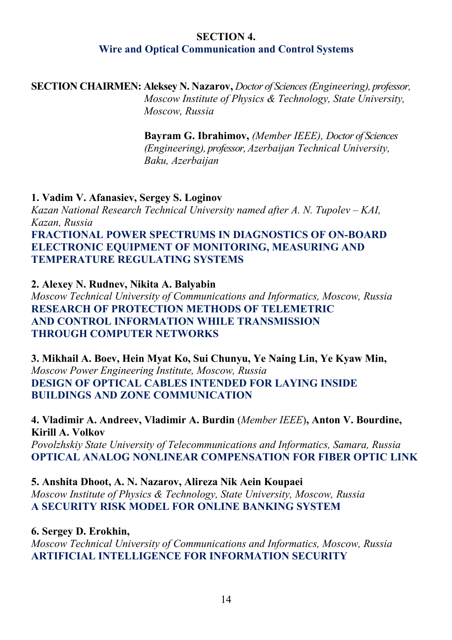### **SECTION 4. Wire and Optical Communication and Control Systems**

# **SECTION CHAIRMEN: Aleksey N. Nazarov,** *Doctor of Sciences (Engineering), professor,*

 *Moscow Institute of Physics & Technology, State University, Moscow, Russia* 

 **Bayram G. Ibrahimov,** *(Member IEEE), Doctor of Sciences*  *(Engineering), professor, Azerbaijan Technical University, Baku, Azerbaijan* 

#### **1. Vadim V. Afanasiev, Sergey S. Loginov**

*Kazan National Research Technical University named after A. N. Tupolev – KAI, Kazan, Russia* 

# **FRACTIONAL POWER SPECTRUMS IN DIAGNOSTICS OF ON-BOARD ELECTRONIC EQUIPMENT OF MONITORING, MEASURING AND TEMPERATURE REGULATING SYSTEMS**

**2. Alexey N. Rudnev, Nikita A. Balyabin** 

*Moscow Technical University of Communications and Informatics, Moscow, Russia*  **RESEARCH OF PROTECTION METHODS OF TELEMETRIC AND CONTROL INFORMATION WHILE TRANSMISSION THROUGH COMPUTER NETWORKS** 

**3. Mikhail A. Boev, Hein Myat Ko, Sui Chunyu, Ye Naing Lin, Ye Kyaw Min,**  *Moscow Power Engineering Institute, Moscow, Russia*  **DESIGN OF OPTICAL CABLES INTENDED FOR LAYING INSIDE BUILDINGS AND ZONE COMMUNICATION** 

# **4. Vladimir A. Andreev, Vladimir A. Burdin** (*Member IEEE*)**, Anton V. Bourdine, Kirill A. Volkov**

*Povolzhskiy State University of Telecommunications and Informatics, Samara, Russia*  **OPTICAL ANALOG NONLINEAR COMPENSATION FOR FIBER OPTIC LINK** 

#### **5. Anshita Dhoot, A. N. Nazarov, Alireza Nik Aein Koupaei**

*Moscow Institute of Physics & Technology, State University, Moscow, Russia*  **A SECURITY RISK MODEL FOR ONLINE BANKING SYSTEM** 

#### **6. Sergey D. Erokhin,**

*Moscow Technical University of Communications and Informatics, Moscow, Russia*  **ARTIFICIAL INTELLIGENCE FOR INFORMATION SECURITY**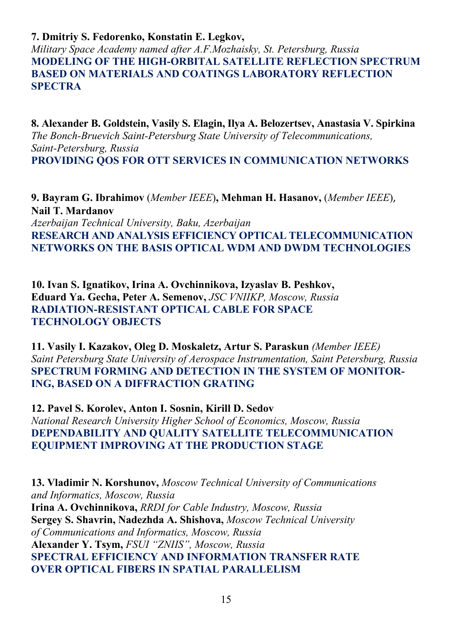#### **7. Dmitriy S. Fedorenko, Konstatin E. Legkov,**

*Military Space Academy named after A.F.Mozhaisky, St. Petersburg, Russia*  **MODELING OF THE HIGH-ORBITAL SATELLITE REFLECTION SPECTRUM BASED ON MATERIALS AND COATINGS LABORATORY REFLECTION SPECTRA** 

**8. Alexander B. Goldstein, Vasily S. Elagin, Ilya A. Belozertsev, Anastasia V. Spirkina**  *The Bonch-Bruevich Saint-Petersburg State University of Telecommunications, Saint-Petersburg, Russia*  **PROVIDING QOS FOR OTT SERVICES IN COMMUNICATION NETWORKS** 

**9. Bayram G. Ibrahimov** (*Member IEEE*)**, Mehman H. Hasanov,** (*Member IEEE*), **Nail T. Mardanov**  *Azerbaijan Technical University, Baku, Azerbaijan*  **RESEARCH AND ANALYSIS EFFICIENCY OPTICAL TELECOMMUNICATION NETWORKS ON THE BASIS OPTICAL WDM AND DWDM TECHNOLOGIES** 

**10. Ivan S. Ignatikov, Irina A. Ovchinnikova, Izyaslav B. Peshkov, Eduard Ya. Gecha, Peter A. Semenov,** *JSC VNIIKP, Moscow, Russia*  **RADIATION-RESISTANT OPTICAL CABLE FOR SPACE TECHNOLOGY OBJECTS** 

**11. Vasily I. Kazakov, Oleg D. Moskaletz, Artur S. Paraskun** *(Member IEEE) Saint Petersburg State University of Aerospace Instrumentation, Saint Petersburg, Russia*  **SPECTRUM FORMING AND DETECTION IN THE SYSTEM OF MONITOR-ING, BASED ON A DIFFRACTION GRATING** 

**12. Pavel S. Korolev, Anton I. Sosnin, Kirill D. Sedov**  *National Research University Higher School of Economics, Moscow, Russia*  **DEPENDABILITY AND QUALITY SATELLITE TELECOMMUNICATION EQUIPMENT IMPROVING AT THE PRODUCTION STAGE** 

**13. Vladimir N. Korshunov,** *Moscow Technical University of Communications and Informatics, Moscow, Russia* **Irina A. Ovchinnikova,** *RRDI for Cable Industry, Moscow, Russia* **Sergey S. Shavrin, Nadezhda A. Shishova,** *Moscow Technical University of Communications and Informatics, Moscow, Russia*  **Alexander Y. Tsym,** *FSUI "ZNIIS", Moscow, Russia* **SPECTRAL EFFICIENCY AND INFORMATION TRANSFER RATE OVER OPTICAL FIBERS IN SPATIAL PARALLELISM**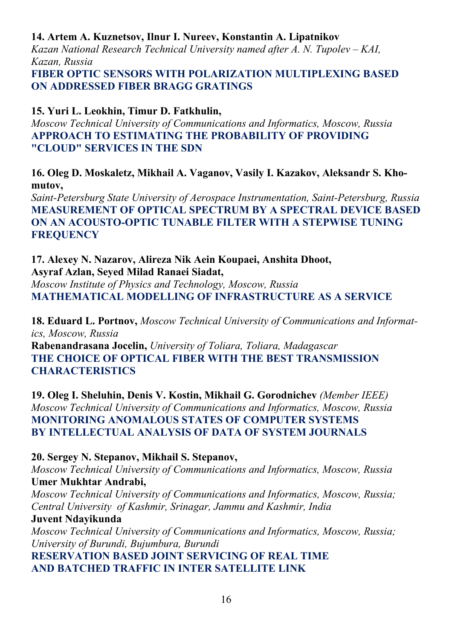# **14. Artem A. Kuznetsov, Ilnur I. Nureev, Konstantin A. Lipatnikov**

*Kazan National Research Technical University named after A. N. Tupolev – KAI, Kazan, Russia* 

**FIBER OPTIC SENSORS WITH POLARIZATION MULTIPLEXING BASED ON ADDRESSED FIBER BRAGG GRATINGS** 

# **15. Yuri L. Leokhin, Timur D. Fatkhulin,**

*Moscow Technical University of Communications and Informatics, Moscow, Russia*  **APPROACH TO ESTIMATING THE PROBABILITY OF PROVIDING "CLOUD" SERVICES IN THE SDN** 

**16. Oleg D. Moskaletz, Mikhail A. Vaganov, Vasily I. Kazakov, Aleksandr S. Khomutov,** 

*Saint-Petersburg State University of Aerospace Instrumentation, Saint-Petersburg, Russia*  **MEASUREMENT OF OPTICAL SPECTRUM BY A SPECTRAL DEVICE BASED ON AN ACOUSTO-OPTIC TUNABLE FILTER WITH A STEPWISE TUNING FREQUENCY** 

## **17. Alexey N. Nazarov, Alireza Nik Aein Koupaei, Anshita Dhoot, Asyraf Azlan, Seyed Milad Ranaei Siadat,**

*Moscow Institute of Physics and Technology, Moscow, Russia*  **MATHEMATICAL MODELLING OF INFRASTRUCTURE AS A SERVICE** 

**18. Eduard L. Portnov,** *Moscow Technical University of Communications and Informatics, Moscow, Russia* 

**Rabenandrasana Jocelin,** *University of Toliara, Toliara, Madagascar*  **THE CHOICE OF OPTICAL FIBER WITH THE BEST TRANSMISSION CHARACTERISTICS** 

**19. Oleg I. Sheluhin, Denis V. Kostin, Mikhail G. Gorodnichev** *(Member IEEE) Moscow Technical University of Communications and Informatics, Moscow, Russia*  **MONITORING ANOMALOUS STATES OF COMPUTER SYSTEMS BY INTELLECTUAL ANALYSIS OF DATA OF SYSTEM JOURNALS** 

# **20. Sergey N. Stepanov, Mikhail S. Stepanov,**

*Moscow Technical University of Communications and Informatics, Moscow, Russia*  **Umer Mukhtar Andrabi,** 

*Moscow Technical University of Communications and Informatics, Moscow, Russia; Central University of Kashmir, Srinagar, Jammu and Kashmir, India* 

#### **Juvent Ndayikunda**

*Moscow Technical University of Communications and Informatics, Moscow, Russia; University of Burundi, Bujumbura, Burundi*

**RESERVATION BASED JOINT SERVICING OF REAL TIME AND BATCHED TRAFFIC IN INTER SATELLITE LINK**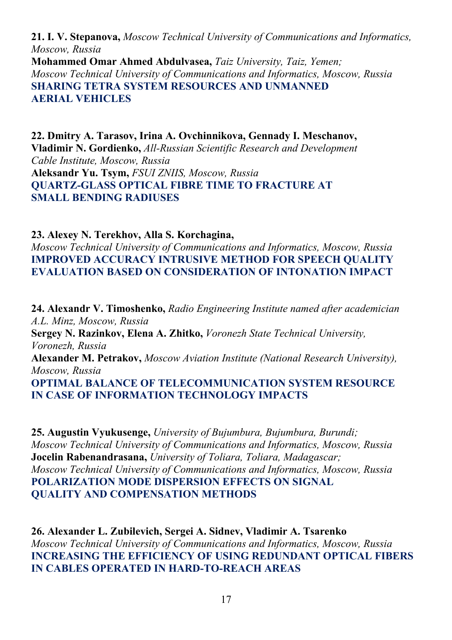**21. I. V. Stepanova,** *Moscow Technical University of Communications and Informatics, Moscow, Russia*  **Mohammed Omar Ahmed Abdulvasea,** *Taiz University, Taiz, Yemen; Moscow Technical University of Communications and Informatics, Moscow, Russia*  **SHARING TETRA SYSTEM RESOURCES AND UNMANNED AERIAL VEHICLES** 

**22. Dmitry A. Tarasov, Irina A. Ovchinnikova, Gennady I. Meschanov, Vladimir N. Gordienko,** *All-Russian Scientific Research and Development Cable Institute, Moscow, Russia*  **Aleksandr Yu. Tsym,** *FSUI ZNIIS, Moscow, Russia* **QUARTZ-GLASS OPTICAL FIBRE TIME TO FRACTURE AT SMALL BENDING RADIUSES** 

**23. Alexey N. Terekhov, Alla S. Korchagina,**  *Moscow Technical University of Communications and Informatics, Moscow, Russia*  **IMPROVED ACCURACY INTRUSIVE METHOD FOR SPEECH QUALITY EVALUATION BASED ON CONSIDERATION OF INTONATION IMPACT** 

**24. Alexandr V. Timoshenko,** *Radio Engineering Institute named after academician A.L. Minz, Moscow, Russia*  **Sergey N. Razinkov, Elena A. Zhitko,** *Voronezh State Technical University, Voronezh, Russia*  **Alexander M. Petrakov,** *Moscow Aviation Institute (National Research University), Moscow, Russia*  **OPTIMAL BALANCE OF TELECOMMUNICATION SYSTEM RESOURCE IN CASE OF INFORMATION TECHNOLOGY IMPACTS** 

**25. Augustin Vyukusenge,** *University of Bujumbura, Bujumbura, Burundi; Moscow Technical University of Communications and Informatics, Moscow, Russia*  **Jocelin Rabenandrasana,** *University of Toliara, Toliara, Madagascar; Moscow Technical University of Communications and Informatics, Moscow, Russia*  **POLARIZATION MODE DISPERSION EFFECTS ON SIGNAL QUALITY AND COMPENSATION METHODS** 

**26. Alexander L. Zubilevich, Sergei A. Sidnev, Vladimir A. Tsarenko**  *Moscow Technical University of Communications and Informatics, Moscow, Russia*  **INCREASING THE EFFICIENCY OF USING REDUNDANT OPTICAL FIBERS IN CABLES OPERATED IN HARD-TO-REACH AREAS**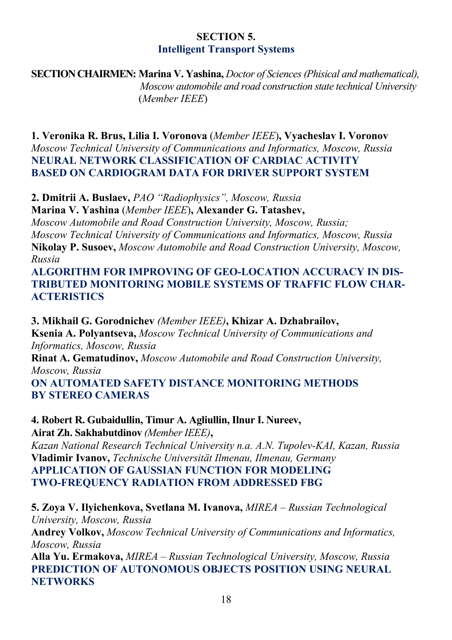# **SECTION 5. Intelligent Transport Systems**

**SECTION CHAIRMEN: Marina V. Yashina,** *Doctor of Sciences (Phisical and mathematical), Moscow automobile and road construction state technical University*  (*Member IEEE*)

**1. Veronika R. Brus, Lilia I. Voronova** (*Member IEEE*)**, Vyacheslav I. Voronov**  *Moscow Technical University of Communications and Informatics, Moscow, Russia*  **NEURAL NETWORK CLASSIFICATION OF CARDIAC ACTIVITY BASED ON CARDIOGRAM DATA FOR DRIVER SUPPORT SYSTEM** 

**2. Dmitrii A. Buslaev,** *PAO "Radiophysics", Moscow, Russia* **Marina V. Yashina** (*Member IEEE*)**, Alexander G. Tatashev,**  *Moscow Automobile and Road Construction University, Moscow, Russia; Moscow Technical University of Communications and Informatics, Moscow, Russia*  **Nikolay P. Susoev,** *Moscow Automobile and Road Construction University, Moscow, Russia* 

### **ALGORITHM FOR IMPROVING OF GEO-LOCATION ACCURACY IN DIS-TRIBUTED MONITORING MOBILE SYSTEMS OF TRAFFIC FLOW CHAR-ACTERISTICS**

**3. Mikhail G. Gorodnichev** *(Member IEEE)***, Khizar A. Dzhabrailov, Ksenia A. Polyantseva,** *Moscow Technical University of Communications and Informatics, Moscow, Russia*  **Rinat A. Gematudinov,** *Moscow Automobile and Road Construction University, Moscow, Russia*  **ON AUTOMATED SAFETY DISTANCE MONITORING METHODS BY STEREO CAMERAS** 

**4. Robert R. Gubaidullin, Timur A. Agliullin, Ilnur I. Nureev, Airat Zh. Sakhabutdinov** *(Member IEEE)***,**  *Kazan National Research Technical University n.a. A.N. Tupolev-KAI, Kazan, Russia*  **Vladimir Ivanov,** *Technische Universität Ilmenau, Ilmenau, Germany*  **APPLICATION OF GAUSSIAN FUNCTION FOR MODELING TWO-FREQUENCY RADIATION FROM ADDRESSED FBG** 

**5. Zoya V. Ilyichenkova, Svetlana M. Ivanova,** *MIREA – Russian Technological University, Moscow, Russia*  **Andrey Volkov,** *Moscow Technical University of Communications and Informatics, Moscow, Russia* 

**Alla Yu. Ermakova,** *MIREA – Russian Technological University, Moscow, Russia* **PREDICTION OF AUTONOMOUS OBJECTS POSITION USING NEURAL NETWORKS**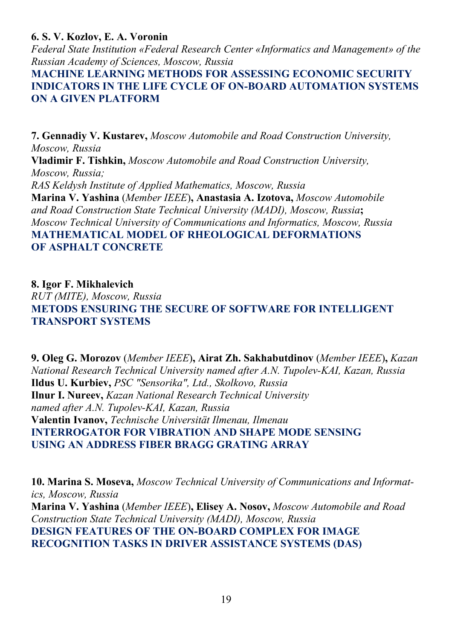**6. S. V. Kozlov, E. A. Voronin** 

*Federal State Institution «Federal Research Center «Informatics and Management» of the Russian Academy of Sciences, Moscow, Russia* 

**MACHINE LEARNING METHODS FOR ASSESSING ECONOMIC SECURITY INDICATORS IN THE LIFE CYCLE OF ON-BOARD AUTOMATION SYSTEMS ON A GIVEN PLATFORM** 

**7. Gennadiy V. Kustarev,** *Moscow Automobile and Road Construction University, Moscow, Russia*  **Vladimir F. Tishkin,** *Moscow Automobile and Road Construction University, Moscow, Russia; RAS Keldysh Institute of Applied Mathematics, Moscow, Russia*  **Marina V. Yashina** (*Member IEEE*)**, Anastasia A. Izotova,** *Moscow Automobile and Road Construction State Technical University (MADI), Moscow, Russia***;**  *Moscow Technical University of Communications and Informatics, Moscow, Russia*  **MATHEMATICAL MODEL OF RHEOLOGICAL DEFORMATIONS OF ASPHALT CONCRETE** 

**8. Igor F. Mikhalevich** 

*RUT (MITE), Moscow, Russia*  **METODS ENSURING THE SECURE OF SOFTWARE FOR INTELLIGENT TRANSPORT SYSTEMS** 

**9. Oleg G. Morozov** (*Member IEEE*)**, Airat Zh. Sakhabutdinov** (*Member IEEE*)**,** *Kazan National Research Technical University named after A.N. Tupolev-KAI, Kazan, Russia*  **Ildus U. Kurbiev,** *PSC "Sensorika", Ltd., Skolkovo, Russia* **Ilnur I. Nureev,** *Kazan National Research Technical University named after A.N. Tupolev-KAI, Kazan, Russia*  **Valentin Ivanov,** *Technische Universität Ilmenau, Ilmenau*  **INTERROGATOR FOR VIBRATION AND SHAPE MODE SENSING USING AN ADDRESS FIBER BRAGG GRATING ARRAY** 

**10. Marina S. Moseva,** *Moscow Technical University of Communications and Informatics, Moscow, Russia*  **Marina V. Yashina** (*Member IEEE*)**, Elisey A. Nosov,** *Moscow Automobile and Road Construction State Technical University (MADI), Moscow, Russia* **DESIGN FEATURES OF THE ON-BOARD COMPLEX FOR IMAGE RECOGNITION TASKS IN DRIVER ASSISTANCE SYSTEMS (DAS)**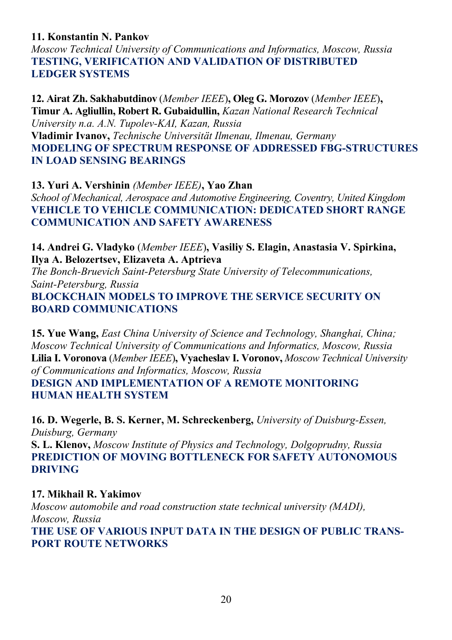# **11. Konstantin N. Pankov**

*Moscow Technical University of Communications and Informatics, Moscow, Russia*  **TESTING, VERIFICATION AND VALIDATION OF DISTRIBUTED LEDGER SYSTEMS** 

**12. Airat Zh. Sakhabutdinov** (*Member IEEE*)**, Oleg G. Morozov** (*Member IEEE*)**, Timur A. Agliullin, Robert R. Gubaidullin,** *Kazan National Research Technical University n.a. A.N. Tupolev-KAI, Kazan, Russia*  **Vladimir Ivanov,** *Technische Universität Ilmenau, Ilmenau, Germany*  **MODELING OF SPECTRUM RESPONSE OF ADDRESSED FBG-STRUCTURES IN LOAD SENSING BEARINGS** 

**13. Yuri A. Vershinin** *(Member IEEE)***, Yao Zhan**  *School of Mechanical, Aerospace and Automotive Engineering, Coventry, United Kingdom*  **VEHICLE TO VEHICLE COMMUNICATION: DEDICATED SHORT RANGE COMMUNICATION AND SAFETY AWARENESS**

**14. Andrei G. Vladyko** (*Member IEEE*)**, Vasiliy S. Elagin, Anastasia V. Spirkina, Ilya A. Belozertsev, Elizaveta A. Aptrieva** 

*The Bonch-Bruevich Saint-Petersburg State University of Telecommunications, Saint-Petersburg, Russia*  **BLOCKCHAIN MODELS TO IMPROVE THE SERVICE SECURITY ON BOARD COMMUNICATIONS** 

**15. Yue Wang,** *East China University of Science and Technology, Shanghai, China; Moscow Technical University of Communications and Informatics, Moscow, Russia*  **Lilia I. Voronova** (*Member IEEE*)**, Vyacheslav I. Voronov,** *Moscow Technical University of Communications and Informatics, Moscow, Russia*  **DESIGN AND IMPLEMENTATION OF A REMOTE MONITORING** 

**HUMAN HEALTH SYSTEM** 

**16. D. Wegerle, B. S. Kerner, M. Schreckenberg,** *University of Duisburg-Essen, Duisburg, Germany* 

**S. L. Klenov,** *Moscow Institute of Physics and Technology, Dolgoprudny, Russia* **PREDICTION OF MOVING BOTTLENECK FOR SAFETY AUTONOMOUS DRIVING** 

# **17. Mikhail R. Yakimov**

*Moscow automobile and road construction state technical university (MADI), Moscow, Russia*  **THE USE OF VARIOUS INPUT DATA IN THE DESIGN OF PUBLIC TRANS-PORT ROUTE NETWORKS**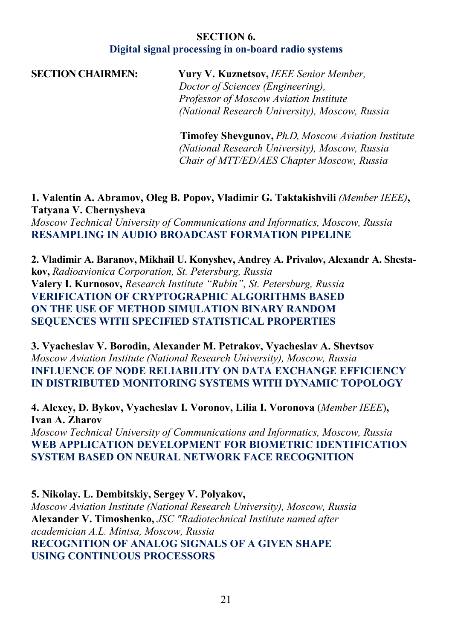# **SECTION 6. Digital signal processing in on-board radio systems**

**SECTION CHAIRMEN: Yury V. Kuznetsov,** *IEEE Senior Member, Doctor of Sciences (Engineering), Professor of Moscow Aviation Institute (National Research University), Moscow, Russia*

> **Timofey Shevgunov,** *Ph.D, Moscow Aviation Institute (National Research University), Moscow, Russia Chair of MTT/ED/AES Chapter Moscow, Russia*

**1. Valentin A. Abramov, Oleg B. Popov, Vladimir G. Taktakishvili** *(Member IEEE)***, Tatyana V. Chernysheva**  *Moscow Technical University of Communications and Informatics, Moscow, Russia*  **RESAMPLING IN AUDIO BROADCAST FORMATION PIPELINE** 

**2. Vladimir A. Baranov, Mikhail U. Konyshev, Andrey A. Privalov, Alexandr A. Shestakov,** *Radioavionica Corporation, St. Petersburg, Russia* **Valery I. Kurnosov,** *Research Institute "Rubin", St. Petersburg, Russia*  **VERIFICATION OF CRYPTOGRAPHIC ALGORITHMS BASED ON THE USE OF METHOD SIMULATION BINARY RANDOM SEQUENCES WITH SPECIFIED STATISTICAL PROPERTIES** 

**3. Vyacheslav V. Borodin, Alexander M. Petrakov, Vyacheslav A. Shevtsov**  *Moscow Aviation Institute (National Research University), Moscow, Russia*  **INFLUENCE OF NODE RELIABILITY ON DATA EXCHANGE EFFICIENCY IN DISTRIBUTED MONITORING SYSTEMS WITH DYNAMIC TOPOLOGY** 

**4. Alexey, D. Bykov, Vyacheslav I. Voronov, Lilia I. Voronova** (*Member IEEE*)**, Ivan A. Zharov** 

*Moscow Technical University of Communications and Informatics, Moscow, Russia*  **WEB APPLICATION DEVELOPMENT FOR BIOMETRIC IDENTIFICATION SYSTEM BASED ON NEURAL NETWORK FACE RECOGNITION** 

**5. Nikolay. L. Dembitskiy, Sergey V. Polyakov,**  *Moscow Aviation Institute (National Research University), Moscow, Russia*  **Alexander V. Timoshenko,** *JSC "Radiotechnical Institute named after academician A.L. Mintsa, Moscow, Russia*  **RECOGNITION OF ANALOG SIGNALS OF A GIVEN SHAPE USING CONTINUOUS PROCESSORS**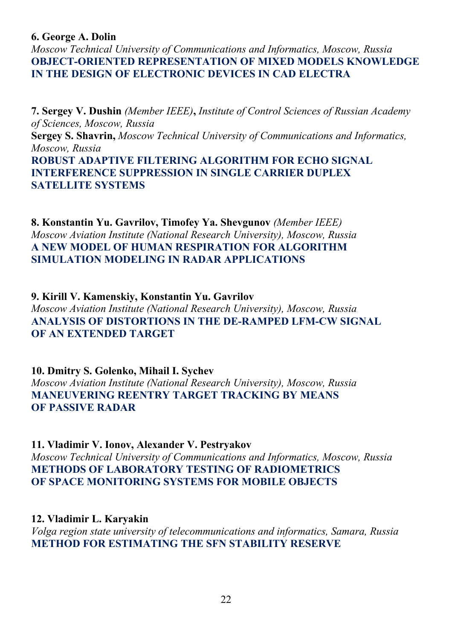#### **6. George A. Dolin**

*Moscow Technical University of Communications and Informatics, Moscow, Russia*  **OBJECT-ORIENTED REPRESENTATION OF MIXED MODELS KNOWLEDGE IN THE DESIGN OF ELECTRONIC DEVICES IN CAD ELECTRA** 

**7. Sergey V. Dushin** *(Member IEEE)***,** *Institute of Control Sciences of Russian Academy of Sciences, Moscow, Russia*  **Sergey S. Shavrin,** *Moscow Technical University of Communications and Informatics, Moscow, Russia*  **ROBUST ADAPTIVE FILTERING ALGORITHM FOR ECHO SIGNAL INTERFERENCE SUPPRESSION IN SINGLE CARRIER DUPLEX SATELLITE SYSTEMS** 

**8. Konstantin Yu. Gavrilov, Timofey Ya. Shevgunov** *(Member IEEE) Moscow Aviation Institute (National Research University), Moscow, Russia*  **A NEW MODEL OF HUMAN RESPIRATION FOR ALGORITHM SIMULATION MODELING IN RADAR APPLICATIONS** 

**9. Kirill V. Kamenskiy, Konstantin Yu. Gavrilov**  *Moscow Aviation Institute (National Research University), Moscow, Russia*  **ANALYSIS OF DISTORTIONS IN THE DE-RAMPED LFM-CW SIGNAL OF AN EXTENDED TARGET** 

**10. Dmitry S. Golenko, Mihail I. Sychev**  *Moscow Aviation Institute (National Research University), Moscow, Russia*  **MANEUVERING REENTRY TARGET TRACKING BY MEANS OF PASSIVE RADAR** 

**11. Vladimir V. Ionov, Alexander V. Pestryakov**  *Moscow Technical University of Communications and Informatics, Moscow, Russia*  **METHODS OF LABORATORY TESTING OF RADIOMETRICS OF SPACE MONITORING SYSTEMS FOR MOBILE OBJECTS** 

**12. Vladimir L. Karyakin**  *Volga region state university of telecommunications and informatics, Samara, Russia*  **METHOD FOR ESTIMATING THE SFN STABILITY RESERVE**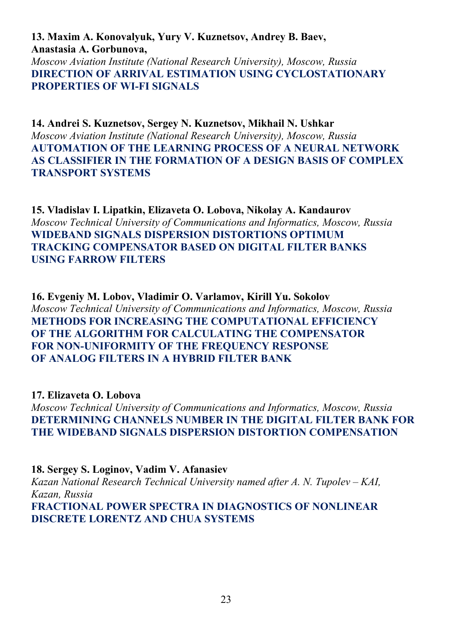**13. Maxim A. Konovalyuk, Yury V. Kuznetsov, Andrey B. Baev, Anastasia A. Gorbunova,**  *Moscow Aviation Institute (National Research University), Moscow, Russia*  **DIRECTION OF ARRIVAL ESTIMATION USING CYCLOSTATIONARY PROPERTIES OF WI-FI SIGNALS** 

**14. Andrei S. Kuznetsov, Sergey N. Kuznetsov, Mikhail N. Ushkar**  *Moscow Aviation Institute (National Research University), Moscow, Russia*  **AUTOMATION OF THE LEARNING PROCESS OF A NEURAL NETWORK AS CLASSIFIER IN THE FORMATION OF A DESIGN BASIS OF COMPLEX TRANSPORT SYSTEMS** 

**15. Vladislav I. Lipatkin, Elizaveta O. Lobova, Nikolay A. Kandaurov**  *Moscow Technical University of Communications and Informatics, Moscow, Russia*  **WIDEBAND SIGNALS DISPERSION DISTORTIONS OPTIMUM TRACKING COMPENSATOR BASED ON DIGITAL FILTER BANKS USING FARROW FILTERS** 

**16. Evgeniy M. Lobov, Vladimir O. Varlamov, Kirill Yu. Sokolov**  *Moscow Technical University of Communications and Informatics, Moscow, Russia*  **METHODS FOR INCREASING THE COMPUTATIONAL EFFICIENCY OF THE ALGORITHM FOR CALCULATING THE COMPENSATOR FOR NON-UNIFORMITY OF THE FREQUENCY RESPONSE OF ANALOG FILTERS IN A HYBRID FILTER BANK** 

**17. Elizaveta O. Lobova** 

*Moscow Technical University of Communications and Informatics, Moscow, Russia*  **DETERMINING CHANNELS NUMBER IN THE DIGITAL FILTER BANK FOR THE WIDEBAND SIGNALS DISPERSION DISTORTION COMPENSATION** 

**18. Sergey S. Loginov, Vadim V. Afanasiev**  *Kazan National Research Technical University named after A. N. Tupolev – KAI, Kazan, Russia*  **FRACTIONAL POWER SPECTRA IN DIAGNOSTICS OF NONLINEAR DISCRETE LORENTZ AND CHUA SYSTEMS**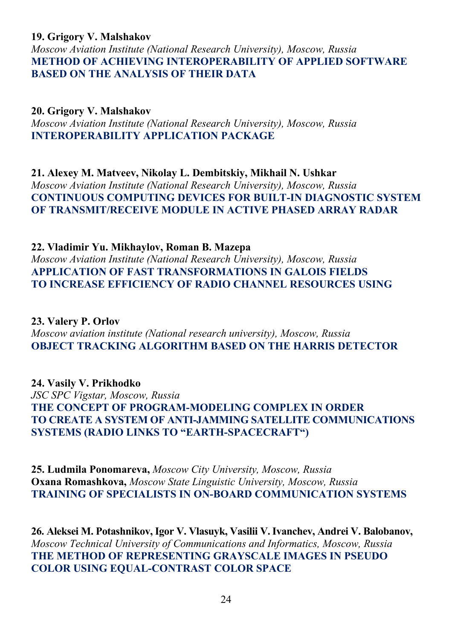### **19. Grigory V. Malshakov**

*Moscow Aviation Institute (National Research University), Moscow, Russia*  **METHOD OF ACHIEVING INTEROPERABILITY OF APPLIED SOFTWARE BASED ON THE ANALYSIS OF THEIR DATA** 

**20. Grigory V. Malshakov**  *Moscow Aviation Institute (National Research University), Moscow, Russia*  **INTEROPERABILITY APPLICATION PACKAGE** 

**21. Alexey M. Matveev, Nikolay L. Dembitskiy, Mikhail N. Ushkar**  *Moscow Aviation Institute (National Research University), Moscow, Russia*  **CONTINUOUS COMPUTING DEVICES FOR BUILT-IN DIAGNOSTIC SYSTEM OF TRANSMIT/RECEIVE MODULE IN ACTIVE PHASED ARRAY RADAR** 

#### **22. Vladimir Yu. Mikhaylov, Roman B. Mazepa**

*Moscow Aviation Institute (National Research University), Moscow, Russia*  **APPLICATION OF FAST TRANSFORMATIONS IN GALOIS FIELDS TO INCREASE EFFICIENCY OF RADIO CHANNEL RESOURCES USING** 

**23. Valery P. Orlov**  *Moscow aviation institute (National research university), Moscow, Russia*  **OBJECT TRACKING ALGORITHM BASED ON THE HARRIS DETECTOR** 

**24. Vasily V. Prikhodko**  *JSC SPC Vigstar, Moscow, Russia*  **THE CONCEPT OF PROGRAM-MODELING COMPLEX IN ORDER TO CREATE A SYSTEM OF ANTI-JAMMING SATELLITE COMMUNICATIONS SYSTEMS (RADIO LINKS TO "EARTH-SPACECRAFT")** 

**25. Ludmila Ponomareva,** *Moscow City University, Moscow, Russia*  **Oxana Romashkova,** *Moscow State Linguistic University, Moscow, Russia* **TRAINING OF SPECIALISTS IN ON-BOARD COMMUNICATION SYSTEMS** 

**26. Aleksei M. Potashnikov, Igor V. Vlasuyk, Vasilii V.Ivanchev, Andrei V. Balobanov,**  *Moscow Technical University of Communications and Informatics, Moscow, Russia*  **THE METHOD OF REPRESENTING GRAYSCALE IMAGES IN PSEUDO COLOR USING EQUAL-CONTRAST COLOR SPACE**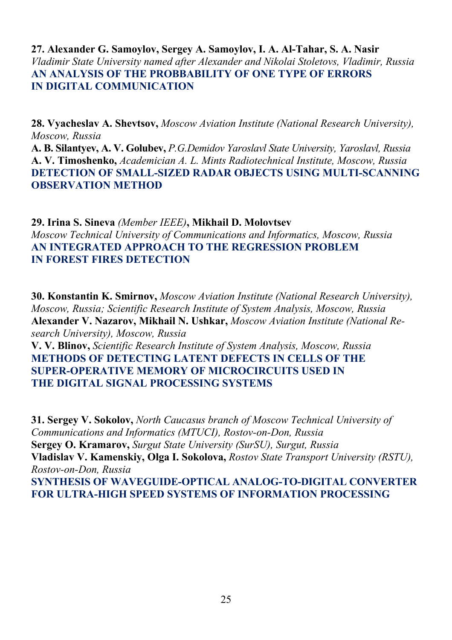# **27. Alexander G. Samoylov, Sergey A. Samoylov, I. A. Al-Tahar, S. A. Nasir**  *Vladimir State University named after Alexander and Nikolai Stoletovs, Vladimir, Russia*  **AN ANALYSIS OF THE PROBBABILITY OF ONE TYPE OF ERRORS IN DIGITAL COMMUNICATION**

**28. Vyacheslav A. Shevtsov,** *Moscow Aviation Institute (National Research University), Moscow, Russia* 

**A. B. Silantyev, A. V. Golubev,** *P.G.Demidov Yaroslavl State University, Yaroslavl, Russia*  **A. V. Timoshenko,** *Academician A. L. Mints Radiotechnical Institute, Moscow, Russia*  **DETECTION OF SMALL-SIZED RADAR OBJECTS USING MULTI-SCANNING OBSERVATION METHOD** 

**29. Irina S. Sineva** *(Member IEEE)***, Mikhail D. Molovtsev**  *Moscow Technical University of Communications and Informatics, Moscow, Russia*  **AN INTEGRATED APPROACH TO THE REGRESSION PROBLEM IN FOREST FIRES DETECTION** 

**30. Konstantin K. Smirnov,** *Moscow Aviation Institute (National Research University), Moscow, Russia; Scientific Research Institute of System Analysis, Moscow, Russia* **Alexander V. Nazarov, Mikhail N. Ushkar,** *Moscow Aviation Institute (National Research University), Moscow, Russia* 

**V. V. Blinov,** *Scientific Research Institute of System Analysis, Moscow, Russia* **METHODS OF DETECTING LATENT DEFECTS IN CELLS OF THE SUPER-OPERATIVE MEMORY OF MICROCIRCUITS USED IN THE DIGITAL SIGNAL PROCESSING SYSTEMS** 

**31. Sergey V. Sokolov,** *North Caucasus branch of Moscow Technical University of Communications and Informatics (MTUCI), Rostov-on-Don, Russia* **Sergey O. Kramarov,** *Surgut State University (SurSU), Surgut, Russia* **Vladislav V. Kamenskiy, Olga I. Sokolova,** *Rostov State Transport University (RSTU), Rostov-on-Don, Russia*  **SYNTHESIS OF WAVEGUIDE-OPTICAL ANALOG-TO-DIGITAL CONVERTER FOR ULTRA-HIGH SPEED SYSTEMS OF INFORMATION PROCESSING**